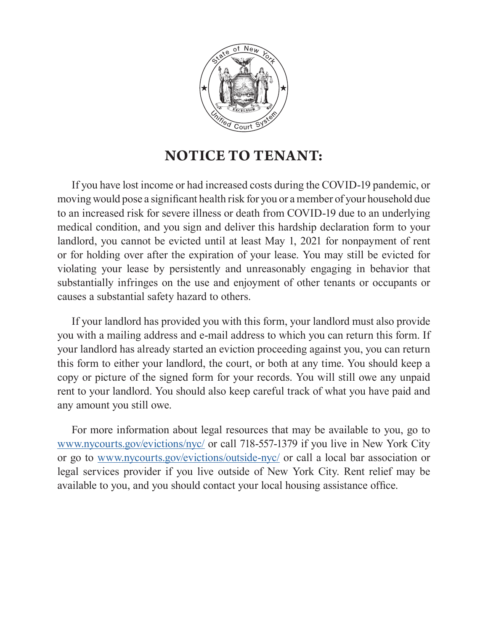

## **NOTICE TO TENANT:**

If you have lost income or had increased costs during the COVID-19 pandemic, or moving would pose a significant health risk for you or a member of your household due to an increased risk for severe illness or death from COVID-19 due to an underlying medical condition, and you sign and deliver this hardship declaration form to your landlord, you cannot be evicted until at least May 1, 2021 for nonpayment of rent or for holding over after the expiration of your lease. You may still be evicted for violating your lease by persistently and unreasonably engaging in behavior that substantially infringes on the use and enjoyment of other tenants or occupants or causes a substantial safety hazard to others.

If your landlord has provided you with this form, your landlord must also provide you with a mailing address and e-mail address to which you can return this form. If your landlord has already started an eviction proceeding against you, you can return this form to either your landlord, the court, or both at any time. You should keep a copy or picture of the signed form for your records. You will still owe any unpaid rent to your landlord. You should also keep careful track of what you have paid and any amount you still owe.

For more information about legal resources that may be available to you, go to [www.nycourts.gov/evictions/nyc/](http://www.nycourts.gov/evictions/nyc/) or call 718-557-1379 if you live in New York City or go to [www.nycourts.gov/evictions/outside-nyc/](http://www.nycourts.gov/evictions/outside-nyc/) or call a local bar association or legal services provider if you live outside of New York City. Rent relief may be available to you, and you should contact your local housing assistance office.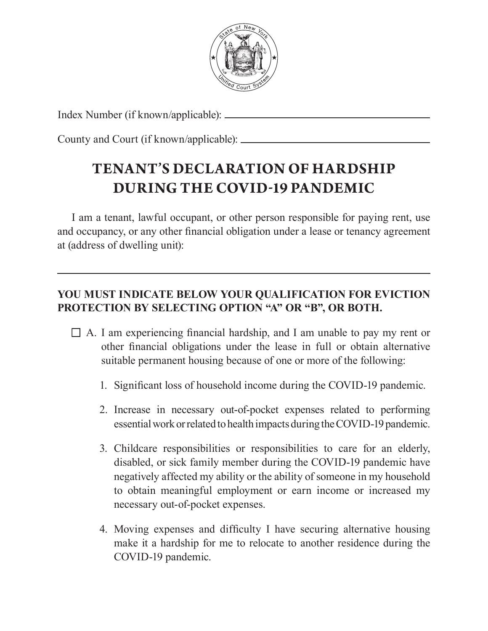

Index Number (if known/applicable):

County and Court (if known/applicable):

## **TENANT'S DECLARATION OF HARDSHIP DURING THE COVID-19 PANDEMIC**

I am a tenant, lawful occupant, or other person responsible for paying rent, use and occupancy, or any other financial obligation under a lease or tenancy agreement at (address of dwelling unit):

## **YOU MUST INDICATE BELOW YOUR QUALIFICATION FOR EVICTION PROTECTION BY SELECTING OPTION "A" OR "B", OR BOTH.**

- $\Box$  A. I am experiencing financial hardship, and I am unable to pay my rent or other financial obligations under the lease in full or obtain alternative suitable permanent housing because of one or more of the following:
	- 1. Significant loss of household income during the COVID-19 pandemic.
	- 2. Increase in necessary out-of-pocket expenses related to performing essential work or related to health impacts during the COVID-19 pandemic.
	- 3. Childcare responsibilities or responsibilities to care for an elderly, disabled, or sick family member during the COVID-19 pandemic have negatively affected my ability or the ability of someone in my household to obtain meaningful employment or earn income or increased my necessary out-of-pocket expenses.
	- 4. Moving expenses and difficulty I have securing alternative housing make it a hardship for me to relocate to another residence during the COVID-19 pandemic.